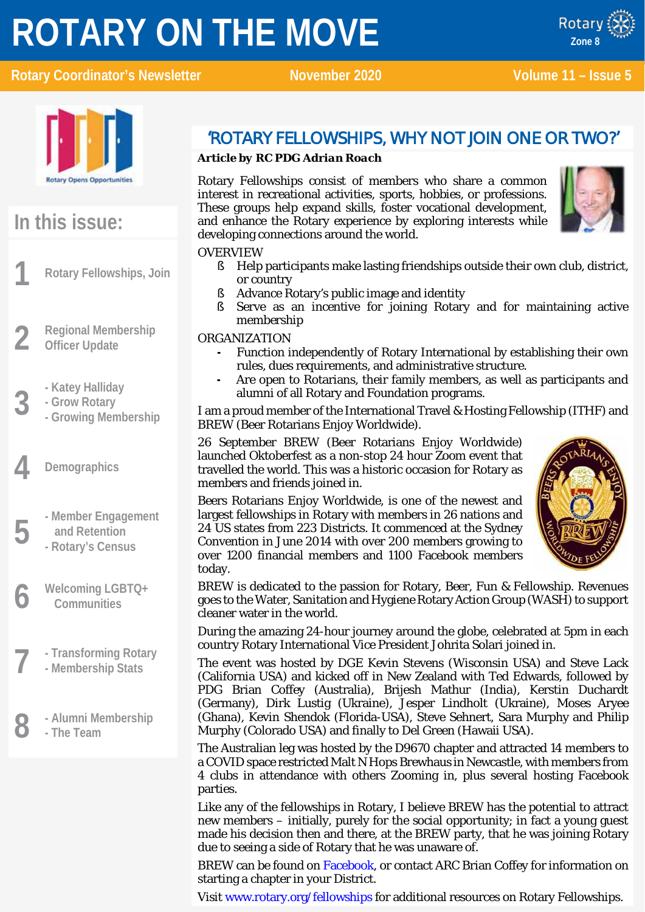# **ROTARY ON THE MOVE**







# **In this issue:**

**1 Rotary Fellowships, Join**

- **2 Regional Membership Officer Update**
	-
	- **- Grow Rotary**
- **3 - Katey Halliday - Growing Membership**
- **4 Demographics**
	- **5 - Member Engagement and Retention**
		- **- Rotary's Census**
- **6 Welcoming LGBTQ+ Communities**
- **7 - Transforming Rotary**
- **- Membership Stats**
- **8 - Alumni Membership - The Team**

### 'ROTARY FELLOWSHIPS, WHY NOT JOIN ONE OR TWO?'

#### *Article by RC PDG Adrian Roach*

Rotary Fellowships consist of members who share a common interest in recreational activities, sports, hobbies, or professions. These groups help expand skills, foster vocational development, and enhance the Rotary experience by exploring interests while developing connections around the world.



#### OVERVIEW

- § Help participants make lasting friendships outside their own club, district, or country
- § Advance Rotary's public image and identity
- § Serve as an incentive for joining Rotary and for maintaining active membership

ORGANIZATION

- **-** Function independently of Rotary International by establishing their own rules, dues requirements, and administrative structure.
- **-** Are open to Rotarians, their family members, as well as participants and alumni of all Rotary and Foundation programs.

I am a proud member of the International Travel & Hosting Fellowship (ITHF) and BREW (Beer Rotarians Enjoy Worldwide).

26 September BREW (Beer Rotarians Enjoy Worldwide) launched Oktoberfest as a non-stop 24 hour Zoom event that travelled the world. This was a historic occasion for Rotary as members and friends joined in.

Beers Rotarians Enjoy Worldwide, is one of the newest and largest fellowships in Rotary with members in 26 nations and 24 US states from 223 Districts. It commenced at the Sydney Convention in June 2014 with over 200 members growing to over 1200 financial members and 1100 Facebook members today.



BREW is dedicated to the passion for Rotary, Beer, Fun & Fellowship. Revenues goes to the Water, Sanitation and Hygiene Rotary Action Group (WASH) to support cleaner water in the world.

During the amazing 24-hour journey around the globe, celebrated at 5pm in each country Rotary International Vice President Johrita Solari joined in.

The event was hosted by DGE Kevin Stevens (Wisconsin USA) and Steve Lack (California USA) and kicked off in New Zealand with Ted Edwards, followed by PDG Brian Coffey (Australia), Brijesh Mathur (India), Kerstin Duchardt (Germany), Dirk Lustig (Ukraine), Jesper Lindholt (Ukraine), Moses Aryee (Ghana), Kevin Shendok (Florida-USA), Steve Sehnert, Sara Murphy and Philip Murphy (Colorado USA) and finally to Del Green (Hawaii USA).

The Australian leg was hosted by the D9670 chapter and attracted 14 members to a COVID space restricted Malt N Hops Brewhaus in Newcastle, with members from 4 clubs in attendance with others Zooming in, plus several hosting Facebook parties.

Like any of the fellowships in Rotary, I believe BREW has the potential to attract new members – initially, purely for the social opportunity; in fact a young guest made his decision then and there, at the BREW party, that he was joining Rotary due to seeing a side of Rotary that he was unaware of.

BREW can be found on [Facebook,](https://www.facebook.com/groups/329069693938136) or contact ARC Brian Coffey for information on starting a chapter in your District.

Visit [www.rotary.org/fellowships](http://www.rotary.org/fellowships) for additional resources on Rotary Fellowships.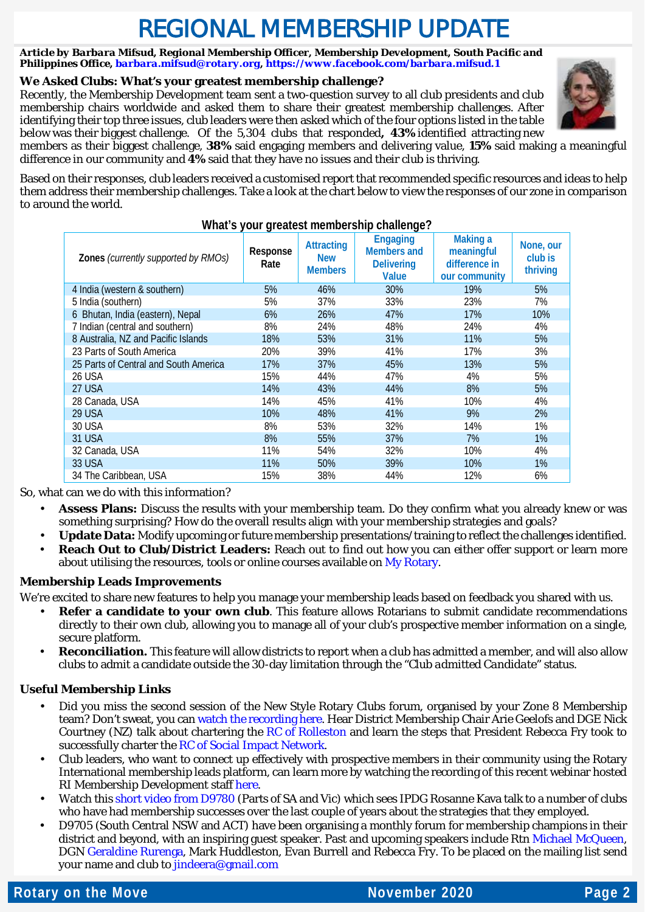# REGIONAL MEMBERSHIP UPDATE

*Article by Barbara Mifsud, Regional Membership Officer, Membership Development, South Pacific and Philippines Office[, barbara.mifsud@rotary.org,](mailto:barbara.mifsud@rotary.org)<https://www.facebook.com/barbara.mifsud.1>*

#### **We Asked Clubs: What's your greatest membership challenge?**

Recently, the Membership Development team sent a two-question survey to all club presidents and club membership chairs worldwide and asked them to share their greatest membership challenges. After identifying their top three issues, club leaders were then asked which of the four options listed in the table below was their biggest challenge. Of the 5,304 clubs that responded**, 43%** identified attracting new



members as their biggest challenge, **38%** said engaging members and delivering value, **15%** said making a meaningful difference in our community and **4%** said that they have no issues and their club is thriving.

Based on their responses, club leaders received a customised report that recommended specific resources and ideas to help them address their membership challenges. Take a look at the chart below to view the responses of our zone in comparison to around the world.

#### **What's your greatest membership challenge?**

| Zones (currently supported by RMOs)   | Response<br>Rate | <b>Attracting</b><br><b>New</b><br><b>Members</b> | <b>Engaging</b><br><b>Members and</b><br><b>Delivering</b><br><b>Value</b> | <b>Making a</b><br>meaningful<br>difference in<br>our community | None, our<br>club is<br>thriving |
|---------------------------------------|------------------|---------------------------------------------------|----------------------------------------------------------------------------|-----------------------------------------------------------------|----------------------------------|
| 4 India (western & southern)          | 5%               | 46%                                               | 30%                                                                        | 19%                                                             | 5%                               |
| 5 India (southern)                    | 5%               | 37%                                               | 33%                                                                        | 23%                                                             | 7%                               |
| 6 Bhutan, India (eastern), Nepal      | 6%               | 26%                                               | 47%                                                                        | 17%                                                             | 10%                              |
| 7 Indian (central and southern)       | 8%               | 24%                                               | 48%                                                                        | 24%                                                             | 4%                               |
| 8 Australia, NZ and Pacific Islands   | 18%              | 53%                                               | 31%                                                                        | 11%                                                             | 5%                               |
| 23 Parts of South America             | 20%              | 39%                                               | 41%                                                                        | 17%                                                             | 3%                               |
| 25 Parts of Central and South America | 17%              | 37%                                               | 45%                                                                        | 13%                                                             | 5%                               |
| 26 USA                                | 15%              | 44%                                               | 47%                                                                        | 4%                                                              | 5%                               |
| 27 USA                                | 14%              | 43%                                               | 44%                                                                        | 8%                                                              | 5%                               |
| 28 Canada, USA                        | 14%              | 45%                                               | 41%                                                                        | 10%                                                             | 4%                               |
| 29 USA                                | 10%              | 48%                                               | 41%                                                                        | 9%                                                              | 2%                               |
| <b>30 USA</b>                         | 8%               | 53%                                               | 32%                                                                        | 14%                                                             | 1%                               |
| <b>31 USA</b>                         | 8%               | 55%                                               | 37%                                                                        | 7%                                                              | 1%                               |
| 32 Canada, USA                        | 11%              | 54%                                               | 32%                                                                        | 10%                                                             | 4%                               |
| <b>33 USA</b>                         | 11%              | 50%                                               | 39%                                                                        | 10%                                                             | 1%                               |
| 34 The Caribbean, USA                 | 15%              | 38%                                               | 44%                                                                        | 12%                                                             | 6%                               |

So, what can we do with this information?

- **Assess Plans:** Discuss the results with your membership team. Do they confirm what you already knew or was something surprising? How do the overall results align with your membership strategies and goals?
- **Update Data:** Modify upcoming or future membership presentations/training to reflect the challenges identified.
- **Reach Out to Club/District Leaders:** Reach out to find out how you can either offer support or learn more about utilising the resources, tools or online courses available on [My Rotary.](https://my.rotary.org/en/learning-reference/learn-topic/membership)

#### **Membership Leads Improvements**

We're excited to share new features to help you manage your membership leads based on feedback you shared with us.

- **Refer a candidate to your own club**. This feature allows Rotarians to submit candidate recommendations directly to their own club, allowing you to manage all of your club's prospective member information on a single, secure platform.
- **Reconciliation.** This feature will allow districts to report when a club has admitted a member, and will also allow clubs to admit a candidate outside the 30-day limitation through the "*Club admitted Candidate*" status.

#### **Useful Membership Links**

- Did you miss the second session of the New Style Rotary Clubs forum, organised by your Zone 8 Membership team? Don't sweat, you can [watch the recording here.](https://www.youtube.com/watch?v=WEi5RNFjScg&t=1375s) Hear District Membership Chair Arie Geelofs and DGE Nick Courtney (NZ) talk about chartering the [RC of Rolleston](https://www.facebook.com/rotary.rolleston/?__tn__=%2Cd%2CP-R&eid=ARAj1ZYX9wv-m3Le2-6N7C0Ngob-nBXzeLRSF1cc03ADcNGERUTC4t6omz9jWJ_EZS6yVng-vuhc8axM) and learn the steps that President Rebecca Fry took to successfully charter the [RC of Social Impact Network.](https://www.facebook.com/rotarysocialimpactnetwork/)
- Club leaders, who want to connect up effectively with prospective members in their community using the Rotary International membership leads platform, can learn more by watching the recording of this recent webinar hosted RI Membership Development staff [here.](https://vimeo.com/channels/rotarymembership/471435576)
- Watch thi[s short video from D9780](https://www.youtube.com/watch?v=OL2bWrZmXuc&feature=youtu.be) (Parts of SA and Vic) which sees IPDG Rosanne Kava talk to a number of clubs who have had membership successes over the last couple of years about the strategies that they employed.
- D9705 (South Central NSW and ACT) have been organising a monthly forum for membership champions in their district and beyond, with an inspiring guest speaker. Past and upcoming speakers include Rtn [Michael McQueen,](https://us02web.zoom.us/rec/play/v46rpaCUXNxYvUhjYl4_5TISkGztES-TZ3j_iYsohNIFzRxkHWOyxCh-exk5JCx5USyUwru-7hFuV_wO.y0JHwSqKstarRJJj?startTime=1594711840000&_x_zm_rtaid=DY11ts2QRXm6L2ws8GFUYg.1603002853587.df2ce04dfdd31cae51bdffbb8fccf079&_x_zm_rhtaid=968) DGN [Geraldine Rurenga,](https://www.youtube.com/watch?v=QWQ1iC6WBR4) Mark Huddleston, Evan Burrell and Rebecca Fry. To be placed on the mailing list send your name and club to [jindeera@gmail.com](mailto:jindeera@gmail.com)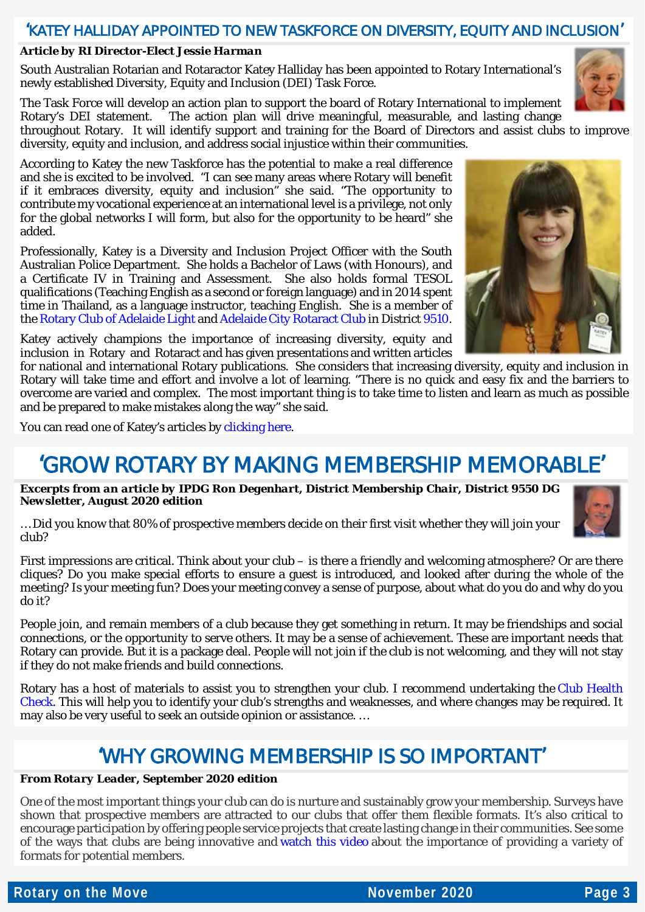#### 'KATEY HALLIDAY APPOINTED TO NEW TASKFORCE ON DIVERSITY, EQUITY AND INCLUSION'

#### *Article by RI Director-Elect Jessie Harman*

South Australian Rotarian and Rotaractor Katey Halliday has been appointed to Rotary International's newly established Diversity, Equity and Inclusion (DEI) Task Force.

The Task Force will develop an action plan to support the board of Rotary International to implement Rotary's DEI statement. The action plan will drive meaningful, measurable, and lasting change throughout Rotary. It will identify support and training for the Board of Directors and assist clubs to improve diversity, equity and inclusion, and address social injustice within their communities.

According to Katey the new Taskforce has the potential to make a real difference and she is excited to be involved. "I can see many areas where Rotary will benefit if it embraces diversity, equity and inclusion" she said. "The opportunity to contribute my vocational experience at an international level is a privilege, not only for the global networks I will form, but also for the opportunity to be heard" she added.

Professionally, Katey is a Diversity and Inclusion Project Officer with the South Australian Police Department. She holds a Bachelor of Laws (with Honours), and a Certificate IV in Training and Assessment. She also holds formal TESOL qualifications (Teaching English as a second or foreign language) and in 2014 spent time in Thailand, as a language instructor, teaching English. She is a member of th[e Rotary Club of Adelaide Light](https://portal.clubrunner.ca/3414) and [Adelaide City Rotaract Club](https://www.adelaidecityrotaractclub.org/) in Distric[t 9510.](https://rotary9510.org/)

Katey actively champions the importance of increasing diversity, equity and inclusion in Rotary and Rotaract and has given presentations and written articles

for national and international Rotary publications. She considers that increasing diversity, equity and inclusion in Rotary will take time and effort and involve a lot of learning. "There is no quick and easy fix and the barriers to overcome are varied and complex. The most important thing is to take time to listen and learn as much as possible and be prepared to make mistakes along the way" she said.

You can read one of Katey's articles by [clicking here.](https://blog.rotary.org/2019/08/01/3-ways-to-make-your-club-more-inclusive/?cid=facebook&u=rotary+international+president&fbclid=IwAR0ww7u-ZNzddjY87UD8Y84_8WgzputnI4uiZ6nnbKeuEPyskCJSs5gS2Pk)

### 'GROW ROTARY BY MAKING MEMBERSHIP MEMORABLE'

*Excerpts from an article by IPDG Ron Degenhart, District Membership Chair, District 9550 DG Newsletter, August 2020 edition*

… Did you know that 80% of prospective members decide on their first visit whether they will join your club?

First impressions are critical. Think about your club – is there a friendly and welcoming atmosphere? Or are there cliques? Do you make special efforts to ensure a guest is introduced, and looked after during the whole of the meeting? Is your meeting fun? Does your meeting convey a sense of purpose, about what do you do and why do you do it?

People join, and remain members of a club because they get something in return. It may be friendships and social connections, or the opportunity to serve others. It may be a sense of achievement. These are important needs that Rotary can provide. But it is a package deal. People will not join if the club is not welcoming, and they will not stay if they do not make friends and build connections.

Rotary has a host of materials to assist you to strengthen your club. I recommend undertaking the [Club Health](https://my.rotary.org/en/document/rotary-club-health-check)  [Check.](https://my.rotary.org/en/document/rotary-club-health-check) This will help you to identify your club's strengths and weaknesses, and where changes may be required. It may also be very useful to seek an outside opinion or assistance. …

### 'WHY GROWING MEMBERSHIP IS SO IMPORTANT'

#### *From Rotary Leader, September 2020 edition*

One of the most important things your club can do is nurture and sustainably grow your membership. Surveys have shown that prospective members are attracted to our clubs that offer them flexible formats. It's also critical to encourage participation by offering people service projects that create lasting change in their communities. See some of the ways that clubs are being innovative and [watch this video](http://msgfocus.rotary.org/c/127UkBNMAvGom2hM8DAXdmgfGG5K) about the importance of providing a variety of formats for potential members.



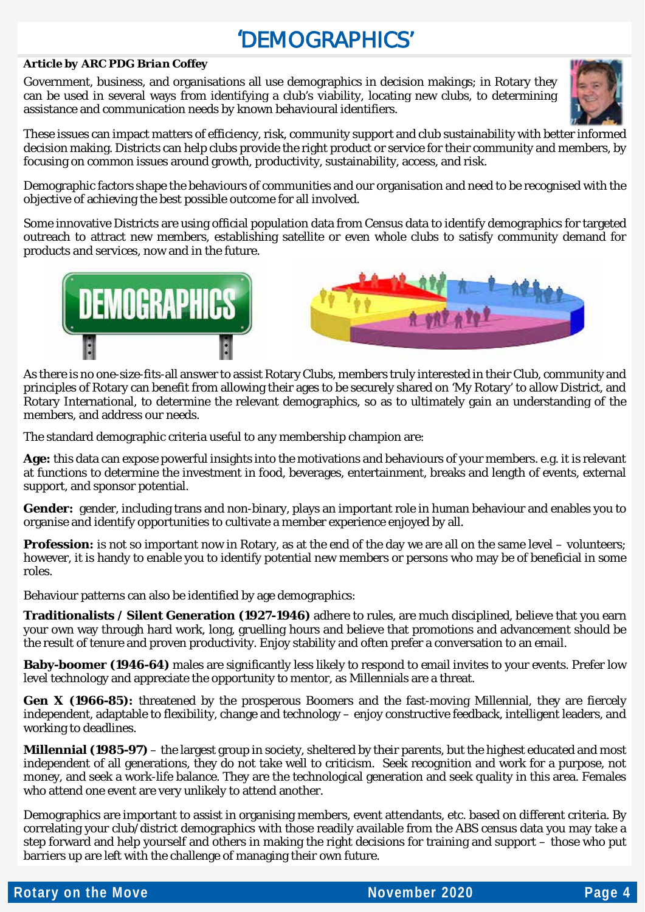# 'DEMOGRAPHICS'

#### *Article by ARC PDG Brian Coffey*

Government, business, and organisations all use demographics in decision makings; in Rotary they can be used in several ways from identifying a club's viability, locating new clubs, to determining assistance and communication needs by known behavioural identifiers.



These issues can impact matters of efficiency, risk, community support and club sustainability with better informed decision making. Districts can help clubs provide the right product or service for their community and members, by focusing on common issues around growth, productivity, sustainability, access, and risk.

Demographic factors shape the behaviours of communities and our organisation and need to be recognised with the objective of achieving the best possible outcome for all involved.

Some innovative Districts are using official population data from Census data to identify demographics for targeted outreach to attract new members, establishing satellite or even whole clubs to satisfy community demand for products and services, now and in the future.



As there is no one-size-fits-all answer to assist Rotary Clubs, members truly interested in their Club, community and principles of Rotary can benefit from allowing their ages to be securely shared on 'My Rotary' to allow District, and Rotary International, to determine the relevant demographics, so as to ultimately gain an understanding of the members, and address our needs.

The standard demographic criteria useful to any membership champion are:

**Age:** this data can expose powerful insights into the motivations and behaviours of your members. e.g. it is relevant at functions to determine the investment in food, beverages, entertainment, breaks and length of events, external support, and sponsor potential.

**Gender:** gender, including trans and non-binary, plays an important role in human behaviour and enables you to organise and identify opportunities to cultivate a member experience enjoyed by all.

**Profession:** is not so important now in Rotary, as at the end of the day we are all on the same level – volunteers; however, it is handy to enable you to identify potential new members or persons who may be of beneficial in some roles.

Behaviour patterns can also be identified by age demographics:

**Traditionalists / Silent Generation (1927-1946)** adhere to rules, are much disciplined, believe that you earn your own way through hard work, long, gruelling hours and believe that promotions and advancement should be the result of tenure and proven productivity. Enjoy stability and often prefer a conversation to an email.

**Baby-boomer (1946-64)** males are significantly less likely to respond to email invites to your events. Prefer low level technology and appreciate the opportunity to mentor, as Millennials are a threat.

**Gen X (1966-85):** threatened by the prosperous Boomers and the fast-moving Millennial, they are fiercely independent, adaptable to flexibility, change and technology – enjoy constructive feedback, intelligent leaders, and working to deadlines.

**Millennial (1985-97)** – the largest group in society, sheltered by their parents, but the highest educated and most independent of all generations, they do not take well to criticism. Seek recognition and work for a purpose, not money, and seek a work-life balance. They are the technological generation and seek quality in this area. Females who attend one event are very unlikely to attend another.

Demographics are important to assist in organising members, event attendants, etc. based on different criteria. By correlating your club/district demographics with those readily available from the ABS census data you may take a step forward and help yourself and others in making the right decisions for training and support – those who put barriers up are left with the challenge of managing their own future.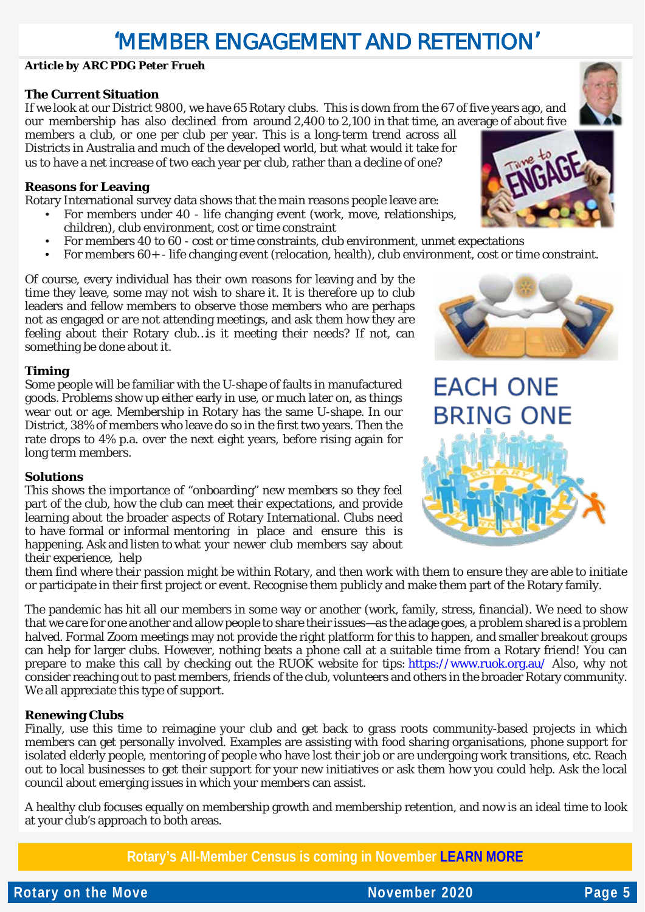### 'MEMBER ENGAGEMENT AND RETENTION'

#### *Article by ARC PDG Peter Frueh*

#### **The Current Situation**

If we look at our District 9800, we have 65 Rotary clubs. This is down from the 67 of five years ago, and our membership has also declined from around 2,400 to 2,100 in that time, an average of about five

members a club, or one per club per year. This is a long-term trend across all Districts in Australia and much of the developed world, but what would it take for us to have a net increase of two each year per club, rather than a decline of one?

#### **Reasons for Leaving**

Rotary International survey data shows that the main reasons people leave are:

- For members under 40 life changing event (work, move, relationships, children), club environment, cost or time constraint
- For members 40 to 60 cost or time constraints, club environment, unmet expectations
- For members 60+ life changing event (relocation, health), club environment, cost or time constraint.

Of course, every individual has their own reasons for leaving and by the time they leave, some may not wish to share it. It is therefore up to club leaders and fellow members to observe those members who are perhaps not as engaged or are not attending meetings, and ask them how they are feeling about their Rotary club…is it meeting their needs? If not, can something be done about it.

#### **Timing**

Some people will be familiar with the U-shape of faults in manufactured goods. Problems show up either early in use, or much later on, as things wear out or age. Membership in Rotary has the same U-shape. In our District, 38% of members who leave do so in the first two years. Then the rate drops to 4% p.a. over the next eight years, before rising again for long term members.

#### **Solutions**

This shows the importance of "onboarding" new members so they feel part of the club, how the club can meet their expectations, and provide learning about the broader aspects of Rotary International. Clubs need to have formal or informal mentoring in place and ensure this is happening. Ask and listen to what your newer club members say about their experience, help

them find where their passion might be within Rotary, and then work with them to ensure they are able to initiate or participate in their first project or event. Recognise them publicly and make them part of the Rotary family.

The pandemic has hit all our members in some way or another (work, family, stress, financial). We need to show that we care for one another and allow people to share their issues—as the adage goes, a problem shared is a problem halved. Formal Zoom meetings may not provide the right platform for this to happen, and smaller breakout groups can help for larger clubs. However, nothing beats a phone call at a suitable time from a Rotary friend! You can prepare to make this call by checking out the RUOK website for tips: <https://www.ruok.org.au/> Also, why not consider reaching out to past members, friends of the club, volunteers and others in the broader Rotary community. We all appreciate this type of support.

#### **Renewing Clubs**

Finally, use this time to reimagine your club and get back to grass roots community-based projects in which members can get personally involved. Examples are assisting with food sharing organisations, phone support for isolated elderly people, mentoring of people who have lost their job or are undergoing work transitions, etc. Reach out to local businesses to get their support for your new initiatives or ask them how you could help. Ask the local council about emerging issues in which your members can assist.

A healthy club focuses equally on membership growth and membership retention, and now is an ideal time to look at your club's approach to both areas.

**Rotary's All-Member Census is coming in November [LEARN MORE](https://rotary.qualtrics.com/CP/File.php?F=F_42bUSB73oRdF4ah)**







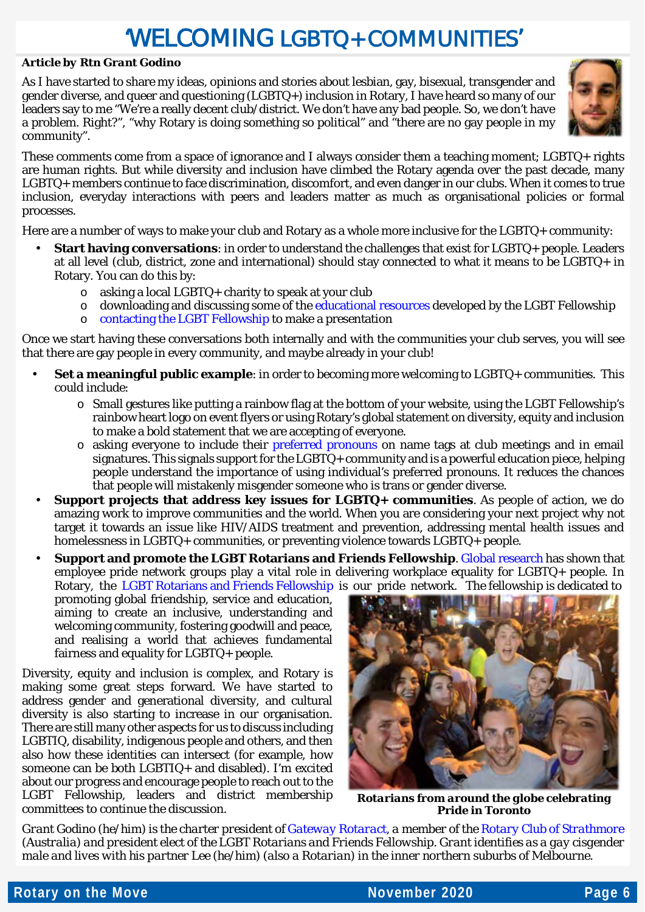# 'WELCOMING LGBTQ+ COMMUNITIES'

#### *Article by Rtn Grant Godino*

As I have started to share my ideas, opinions and stories about lesbian, gay, bisexual, transgender and gender diverse, and queer and questioning (LGBTQ+) inclusion in Rotary, I have heard so many of our leaders say to me "We're a really decent club/district. We don't have any bad people. So, we don't have a problem. Right?", "why Rotary is doing something so political" and "there are no gay people in my community".



These comments come from a space of ignorance and I always consider them a teaching moment; LGBTQ+ rights are human rights. But while diversity and inclusion have climbed the Rotary agenda over the past decade, many LGBTQ+ members continue to face discrimination, discomfort, and even danger in our clubs. When it comes to true inclusion, everyday interactions with peers and leaders matter as much as organisational policies or formal processes.

Here are a number of ways to make your club and Rotary as a whole more inclusive for the LGBTQ+ community:

- **Start having conversations**: in order to understand the challenges that exist for LGBTQ+ people. Leaders at all level (club, district, zone and international) should stay connected to what it means to be LGBTQ+ in Rotary. You can do this by:
	- o asking a local LGBTQ+ charity to speak at your club
	- $\circ$  downloading and discussing some of th[e educational resources](https://rotarylgbt.org/education) developed by the LGBT Fellowship
	- o [contacting the LGBT Fellowship](https://rotarylgbt.org/#contact) to make a presentation

Once we start having these conversations both internally and with the communities your club serves, you will see that there are gay people in every community, and maybe already in your club!

- **Set a meaningful public example**: in order to becoming more welcoming to LGBTQ+ communities. This could include:
	- o Small gestures like putting a rainbow flag at the bottom of your website, using the LGBT Fellowship's rainbow heart logo on event flyers or using Rotary's global statement on diversity, equity and inclusion to make a bold statement that we are accepting of everyone.
	- $\circ$  asking everyone to include their [preferred pronouns](https://www.minus18.org.au/articles/what-are-pronouns-and-why-are-they-important) on name tags at club meetings and in email signatures. This signals support for the LGBTQ+ community and is a powerful education piece, helping people understand the importance of using individual's preferred pronouns. It reduces the chances that people will mistakenly misgender someone who is trans or gender diverse.
- **Support projects that address key issues for LGBTQ+ communities**. As people of action, we do amazing work to improve communities and the world. When you are considering your next project why not target it towards an issue like HIV/AIDS treatment and prevention, addressing mental health issues and homelessness in LGBTQ+ communities, or preventing violence towards LGBTQ+ people.

**Support and promote the LGBT Rotarians and Friends Fellowship**[. Global research](https://www.prideinclusionprograms.com.au/content/uploads/2015/06/Maintaining-Network-Group-Momentum.pdf) has shown that employee pride network groups play a vital role in delivering workplace equality for LGBTQ+ people. In Rotary, the [LGBT Rotarians and Friends Fellowship](https://rotarylgbt.org/) is our pride network. The fellowship is dedicated to

promoting global friendship, service and education, aiming to create an inclusive, understanding and welcoming community, fostering goodwill and peace, and realising a world that achieves fundamental fairness and equality for LGBTQ+ people.

Diversity, equity and inclusion is complex, and Rotary is making some great steps forward. We have started to address gender and generational diversity, and cultural diversity is also starting to increase in our organisation. There are still many other aspects for us to discuss including LGBTIQ, disability, indigenous people and others, and then also how these identities can intersect (for example, how someone can be both LGBTIQ+ and disabled). I'm excited about our progress and encourage people to reach out to the LGBT Fellowship, leaders and district membership committees to continue the discussion.



*Rotarians from around the globe celebrating Pride in Toronto*

*Grant Godino (he/him) is the charter president o[f Gateway Rotaract,](https://www.facebook.com/gatewayrotaract/) a member of the [Rotary Club of Strathmore](https://strathmorerotary.org.au/) (Australia) and president elect of the LGBT Rotarians and Friends Fellowship. Grant identifies as a gay cisgender male and lives with his partner Lee (he/him) (also a Rotarian) in the inner northern suburbs of Melbourne.*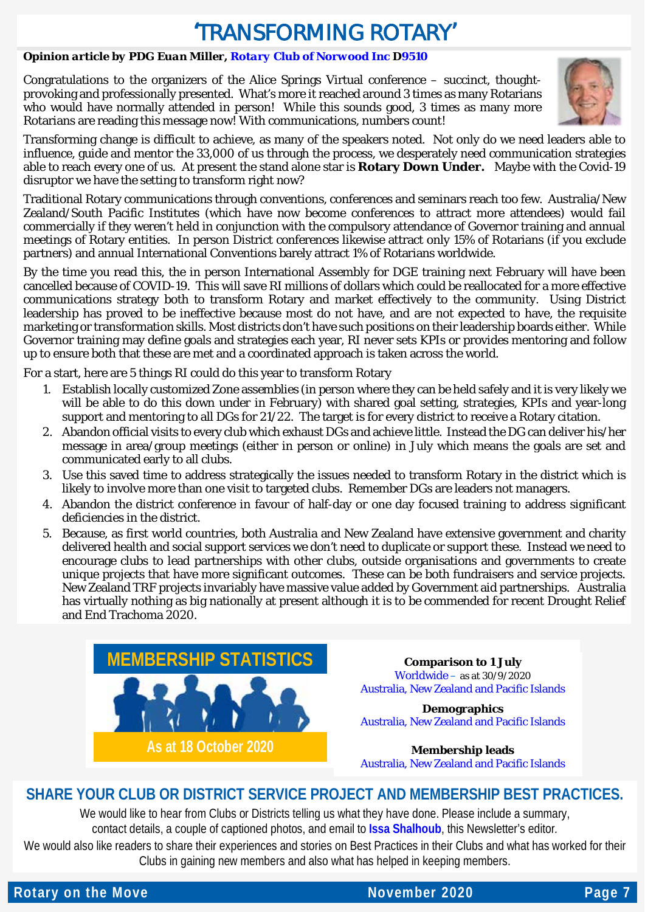### 'TRANSFORMING ROTARY'

#### *Opinion article by PDG Euan Miller[, Rotary Club of Norwood Inc](http://rotarynorwood.org.au/) D9510*

Congratulations to the organizers of the Alice Springs Virtual conference – succinct, thoughtprovoking and professionally presented. What's more it reached around 3 times as many Rotarians who would have normally attended in person! While this sounds good, 3 times as many more Rotarians are reading this message now! With communications, numbers count!



Transforming change is difficult to achieve, as many of the speakers noted. Not only do we need leaders able to influence, guide and mentor the 33,000 of us through the process, we desperately need communication strategies able to reach every one of us. At present the stand alone star is **Rotary Down Under.** Maybe with the Covid-19 disruptor we have the setting to transform right now?

Traditional Rotary communications through conventions, conferences and seminars reach too few. Australia/New Zealand/South Pacific Institutes (which have now become conferences to attract more attendees) would fail commercially if they weren't held in conjunction with the compulsory attendance of Governor training and annual meetings of Rotary entities. In person District conferences likewise attract only 15% of Rotarians (if you exclude partners) and annual International Conventions barely attract 1% of Rotarians worldwide.

By the time you read this, the in person International Assembly for DGE training next February will have been cancelled because of COVID-19. This will save RI millions of dollars which could be reallocated for a more effective communications strategy both to transform Rotary and market effectively to the community. Using District leadership has proved to be ineffective because most do not have, and are not expected to have, the requisite marketing or transformation skills. Most districts don't have such positions on their leadership boards either. While Governor training may define goals and strategies each year, RI never sets KPIs or provides mentoring and follow up to ensure both that these are met and a coordinated approach is taken across the world.

For a start, here are 5 things RI could do this year to transform Rotary

- 1. Establish locally customized Zone assemblies (in person where they can be held safely and it is very likely we will be able to do this down under in February) with shared goal setting, strategies, KPIs and year-long support and mentoring to all DGs for 21/22. The target is for every district to receive a Rotary citation.
- 2. Abandon official visits to every club which exhaust DGs and achieve little. Instead the DG can deliver his/her message in area/group meetings (either in person or online) in July which means the goals are set and communicated early to all clubs.
- 3. Use this saved time to address strategically the issues needed to transform Rotary in the district which is likely to involve more than one visit to targeted clubs. Remember DGs are leaders not managers.
- 4. Abandon the district conference in favour of half-day or one day focused training to address significant deficiencies in the district.
- 5. Because, as first world countries, both Australia and New Zealand have extensive government and charity delivered health and social support services we don't need to duplicate or support these. Instead we need to encourage clubs to lead partnerships with other clubs, outside organisations and governments to create unique projects that have more significant outcomes. These can be both fundraisers and service projects. New Zealand TRF projects invariably have massive value added by Government aid partnerships. Australia has virtually nothing as big nationally at present although it is to be commended for recent Drought Relief and End Trachoma 2020.



**Comparison to 1 July** [Worldwide](https://nam02.safelinks.protection.outlook.com/?url=http%3A%2F%2Fmsgfocus.rotary.org%2Fc%2F1hIxmyeiLiZGdfhf3CCBN8l1&data=02%7C01%7CBrian.king%40rotary.org%7Cf01ef94fbe364caba85108d854002a74%7C67b4e0430afd4afb8b94bf96370c8e7f%7C1%7C0%7C637351706978059193&sdata=TYpcVA05YAzxe8Pw0CicaxvSkMgCqW8a7sPCvsuqoWo%3D&reserved=0) – as at 30/9/2020 Australia, [New Zealand and Pacific Islands](https://www.dropbox.com/s/uf3d30hw8d4bx2s/20201018%20-%20Zone%208%20-%20Comparison_to_1_July%20-%202020-10-18T211634.500.pdf?dl=0)

**Demographics** [Australia, New Zealand and Pacific Islands](https://www.dropbox.com/s/1ecxml8yid77kia/20201018%20-%20Zone%208%20-%20District_Membership_Progress_to_Goal%20%2834%29.pdf?dl=0)

**Membership leads** [Australia, New Zealand and Pacific Islands](https://www.dropbox.com/s/j2nx2nf864s50zw/20201018%20-%20Zone%208%20-%20RMO_Membership_Leads_Success_Report%20%2864%29.pdf?dl=0)

#### **SHARE YOUR CLUB OR DISTRICT SERVICE PROJECT AND MEMBERSHIP BEST PRACTICES.**

We would like to hear from Clubs or Districts telling us what they have done. Please include a summary, contact details, a couple of captioned photos, and email to **[Issa Shalhoub](mailto:drissa@bigpond.com)**, this Newsletter's editor*.*

We would also like readers to share their experiences and stories on Best Practices in their Clubs and what has worked for their Clubs in gaining new members and also what has helped in keeping members.